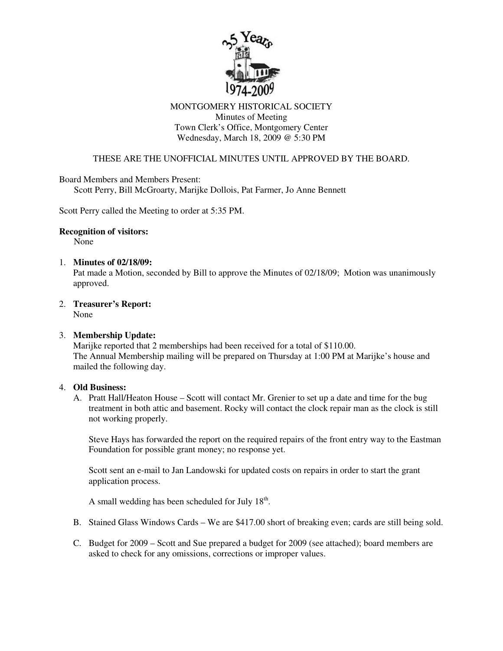

## MONTGOMERY HISTORICAL SOCIETY Minutes of Meeting Town Clerk's Office, Montgomery Center Wednesday, March 18, 2009 @ 5:30 PM

# THESE ARE THE UNOFFICIAL MINUTES UNTIL APPROVED BY THE BOARD.

Board Members and Members Present:

Scott Perry, Bill McGroarty, Marijke Dollois, Pat Farmer, Jo Anne Bennett

Scott Perry called the Meeting to order at 5:35 PM.

#### **Recognition of visitors:**

None

### 1. **Minutes of 02/18/09:**

Pat made a Motion, seconded by Bill to approve the Minutes of 02/18/09; Motion was unanimously approved.

2. **Treasurer's Report:**

None

### 3. **Membership Update:**

Marijke reported that 2 memberships had been received for a total of \$110.00. The Annual Membership mailing will be prepared on Thursday at 1:00 PM at Marijke's house and mailed the following day.

### 4. **Old Business:**

A. Pratt Hall/Heaton House – Scott will contact Mr. Grenier to set up a date and time for the bug treatment in both attic and basement. Rocky will contact the clock repair man as the clock is still not working properly.

Steve Hays has forwarded the report on the required repairs of the front entry way to the Eastman Foundation for possible grant money; no response yet.

Scott sent an e-mail to Jan Landowski for updated costs on repairs in order to start the grant application process.

A small wedding has been scheduled for July  $18<sup>th</sup>$ .

- B. Stained Glass Windows Cards We are \$417.00 short of breaking even; cards are still being sold.
- C. Budget for 2009 Scott and Sue prepared a budget for 2009 (see attached); board members are asked to check for any omissions, corrections or improper values.